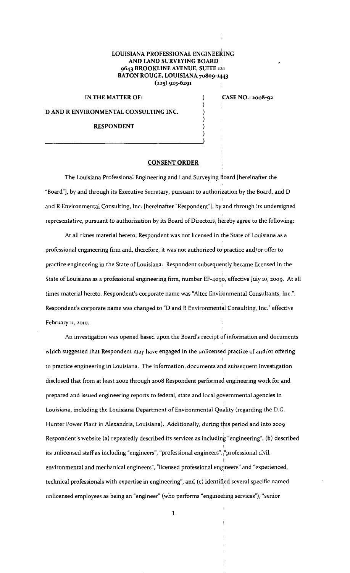## I LOUISIANA PROFESSIONAL ENGINEERING AND LAND SURVEYING BOARD 9643 BROOKLINE AVENUE, SUITE 121 BATON ROUGE, LOUISIANA 70809-1443 (225) 925-6291

) ) ) ) )

IN THE MATTER OF:

CASE NO.: 2008-92

D AND R ENVIRONMENTAL CONSULTING INC.

## RESPONDENT

## CONSENT ORDER

The Louisiana Professional Engineering and Land Surveying Board [hereinafter the "Board"], by and through its Executive Secretary, pursuant to authorization by the Board, and D and R Environmental Consulting, Inc. [hereinafter "Respondent"], by and through its undersigned representative, pursuant to authorization by its Board of Directors, hereby agree to the following:

At all times material hereto, Respondent was not licensed in the State of Louisiana as a professional engineering firm and, therefore, it was not authorized to practice and/or offer to practice engineering in the State of Louisiana. Respondent subsequently became licensed in the State of Louisiana as a professional engineering firm, number EF-4090, effective July 10, 2009. At all times material hereto, Respondent's corporate name was "Altec Environmental Consultants, Inc.". Respondent's corporate name was changed to "D and R Environmental Consulting, Inc." effective February n, 2010.

An investigation was opened based upon the Board's receipt of information and documents which suggested that Respondent may have engaged in the unlicensed practice of and/or offering to practice engineering in Louisiana. The information, documents and subsequent investigation disclosed that from at least 2002 through 2008 Respondent performed engineering work for and prepared and issued engineering reports to federal, state and local governmental agencies in Louisiana, including the Louisiana Department of Environmental Quality (regarding the D.G. I Hunter Power Plant in Alexandria, Louisiana). Additionally, during this period and into 2009 Respondent's website (a) repeatedly described its services as including "engineering", (b) described **its unlicensed staff as including "engineers", "professional engineers", <sup>1</sup> "professional civil,**  environmental and mechanical engineers", "licensed professional engineers" and "experienced, technical professionals with expertise in engineering", and (c) identified several specific named unlicensed employees as being an "engineer" (who performs "engineering services"), "senior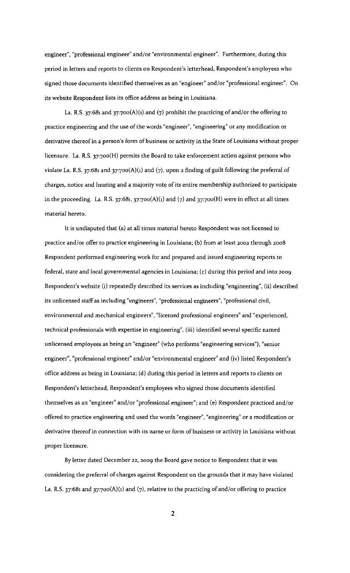**engineer", "professional engineer" and/or "environmental engineer". Furthermore, during this**  period in letters and reports to clients on Respondent's letterhead, Respondent's employees who signed those documents identified themselves as an "engineer" and/or "professional engineer". On its website Respondent lists its office address as being in Louisiana.

La. R.S. 37:681 and 37:7oo(A)(1) and (7) prohibit the practicing of and/or the offering to practice engineering and the use of the words "engineer", "engineering" or any modification or derivative thereof in a person's form of business or activity in the State of Louisiana without proper licensure. La. R.S. 37:700(H) permits the Board to take enforcement action against persons who violate La. R.S. 37:681 and 37:700(A)(1) and (7), upon a finding of guilt following the preferral of charges, notice and hearing and a majority vote of its entire membership authorized to participate in the proceeding. La. R.S. 37:681, 37:700(A)(1) and (7) and 37:700(H) were in effect at all times material hereto.

It is undisputed that (a) at all times material hereto Respondent was not licensed to practice and/or offer to practice engineering in Louisiana; (b) from at least 2002 through 2008 Respondent performed engineering work for and prepared and issued engineering reports to federal, state and local governmental agencies in Louisiana; (c) during this period and into 2009 Respondent's website (i) repeatedly described its services as including "engineering", (ii) described its unlicensed staff as including "engineers", "professional engineers", "professional civil, **environmental and mechanical engineers", "licensed professional engineers" and "experienced,**  technical professionals with expertise in engineering", (iii) identified several specific named **unlicensed employees as being an 11engineer" (who performs ' 1 engineering services"), "senior**  engineer", "professional engineer" and/or "environmental engineer" and (iv) listed Respondent's office address as being in Louisiana; (d) during this period in letters and reports to clients on Respondent's letterhead, Respondent's employees who signed those documents identified themselves as an "engineer" and/or "professional engineer"; and (e) Respondent practiced and/or offered to practice engineering and used the words "engineer", "engineering" or a modification or derivative thereof in connection with its name or form of business or activity in Louisiana without proper licensure.

By letter dated December 22, 2009 the Board gave notice to Respondent that it was considering the preferral of charges against Respondent on the grounds that it may have violated La. R.S. 37:681 and 37:7oo(A)(l) and (7), relative to the practicing of and/or offering to practice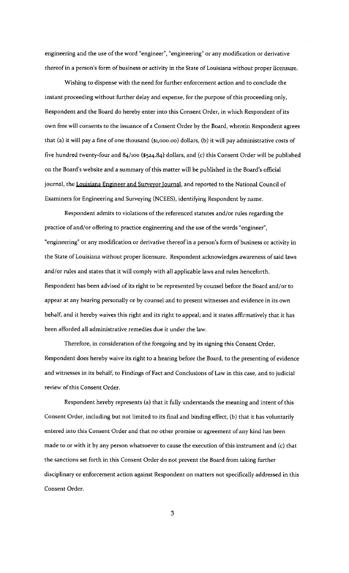engineering and the use of the word "engineer", "engineering" or any modification or derivative thereof in a person's form of business or activity in the State of Louisiana without proper licensure.

Wishing to dispense with the need for further enforcement action and to conclude the instant proceeding without further delay and expense, for the purpose of this proceeding only, Respondent and the Board do hereby enter into this Consent Order, in which Respondent of its own free will consents to the issuance of a Consent Order by the Board, wherein Respondent agrees that (a) it will pay a fine of one thousand (\$1,ooo.oo) dollars, (b) it will pay administrative costs of five hundred twenty-four and 84/100 (\$524.84) dollars, and (c) this Consent Order will be published on the Board's website and a summary of this matter will be published in the Board's official journal, the Louisiana Engineer and Surveyor Journal, and reported to the National Council of Examiners for Engineering and Surveying (NCEES), identifying Respondent by name.

Respondent admits to violations of the referenced statutes and/or rules regarding the practice of and/or offering to practice engineering and the use of the words "engineer", "engineering" or any modification or derivative thereof in a person's form of business or activity in the State of Louisiana without proper licensure. Respondent acknowledges awareness of said laws and/ or rules and states that it will comply with all applicable laws and rules henceforth. Respondent has been advised of its right to be represented by counsel before the Board and/or to appear at any hearing personally or by counsel and to present witnesses and evidence in its own behalf, and it hereby waives this right and its right to appeal; and it states affirmatively that it has been afforded all administrative remedies due it under the law.

Therefore, in consideration of the foregoing and by its signing this Consent Order, Respondent does hereby waive its right to a hearing before the Board, to the presenting of evidence and witnesses in its behalf, to Findings of Fact and Conclusions of Law in this case, and to judicial review of this Consent Order.

Respondent hereby represents (a) that it fully understands the meaning and intent of this Consent Order, including but not limited to its final and binding effect, (b) that it has voluntarily entered into this Consent Order and that no other promise or agreement of any kind has been made to or with it by any person whatsoever to cause the execution of this instrument and (c) that the sanctions set forth in this Consent Order do not prevent the Board from taking further disciplinary or enforcement action against Respondent on matters not specifically addressed in this Consent Order.